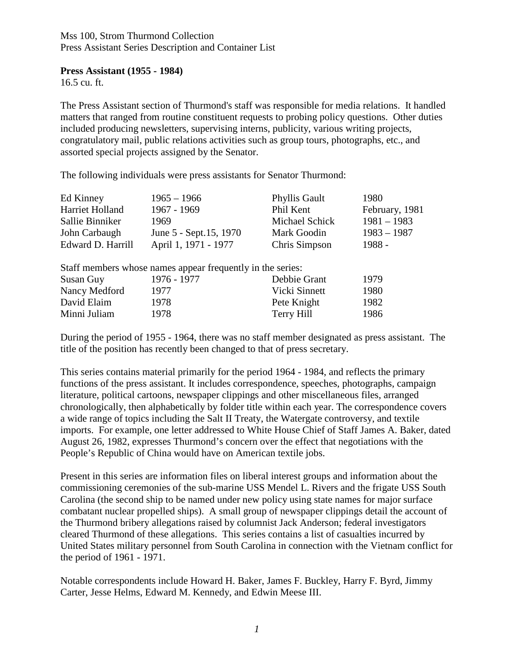#### Mss 100, Strom Thurmond Collection Press Assistant Series Description and Container List

#### **Press Assistant (1955 - 1984)**

16.5 cu. ft.

The Press Assistant section of Thurmond's staff was responsible for media relations. It handled matters that ranged from routine constituent requests to probing policy questions. Other duties included producing newsletters, supervising interns, publicity, various writing projects, congratulatory mail, public relations activities such as group tours, photographs, etc., and assorted special projects assigned by the Senator.

The following individuals were press assistants for Senator Thurmond:

| Ed Kinney         | $1965 - 1966$                                              | <b>Phyllis Gault</b> | 1980           |
|-------------------|------------------------------------------------------------|----------------------|----------------|
| Harriet Holland   | 1967 - 1969                                                | Phil Kent            | February, 1981 |
| Sallie Binniker   | 1969                                                       | Michael Schick       | $1981 - 1983$  |
| John Carbaugh     | June 5 - Sept.15, 1970                                     | Mark Goodin          | $1983 - 1987$  |
| Edward D. Harrill | April 1, 1971 - 1977                                       | Chris Simpson        | 1988 -         |
|                   | Staff members whose names appear frequently in the series: |                      |                |
| Susan Guy         | 1976 - 1977                                                | Debbie Grant         | 1979           |
| Nancy Medford     | 1977                                                       | Vicki Sinnett        | 1980           |
| David Elaim       | 1978                                                       | Pete Knight          | 1982           |
| Minni Juliam      | 1978                                                       | Terry Hill           | 1986           |

During the period of 1955 - 1964, there was no staff member designated as press assistant. The title of the position has recently been changed to that of press secretary.

This series contains material primarily for the period 1964 - 1984, and reflects the primary functions of the press assistant. It includes correspondence, speeches, photographs, campaign literature, political cartoons, newspaper clippings and other miscellaneous files, arranged chronologically, then alphabetically by folder title within each year. The correspondence covers a wide range of topics including the Salt II Treaty, the Watergate controversy, and textile imports. For example, one letter addressed to White House Chief of Staff James A. Baker, dated August 26, 1982, expresses Thurmond's concern over the effect that negotiations with the People's Republic of China would have on American textile jobs.

Present in this series are information files on liberal interest groups and information about the commissioning ceremonies of the sub-marine USS Mendel L. Rivers and the frigate USS South Carolina (the second ship to be named under new policy using state names for major surface combatant nuclear propelled ships). A small group of newspaper clippings detail the account of the Thurmond bribery allegations raised by columnist Jack Anderson; federal investigators cleared Thurmond of these allegations. This series contains a list of casualties incurred by United States military personnel from South Carolina in connection with the Vietnam conflict for the period of 1961 - 1971.

Notable correspondents include Howard H. Baker, James F. Buckley, Harry F. Byrd, Jimmy Carter, Jesse Helms, Edward M. Kennedy, and Edwin Meese III.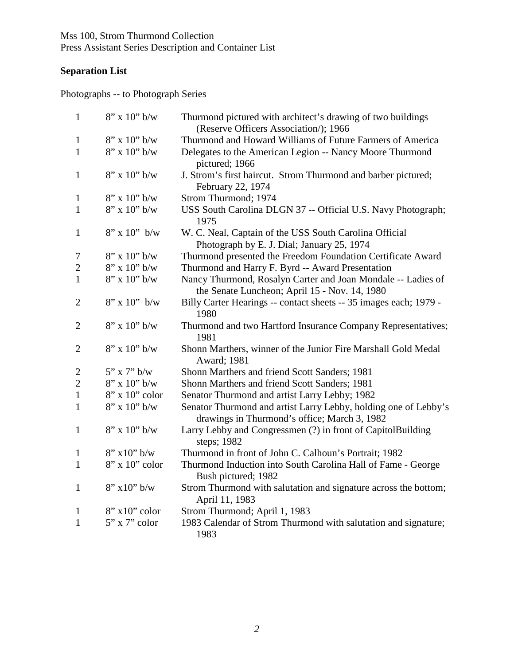Mss 100, Strom Thurmond Collection Press Assistant Series Description and Container List

### **Separation List**

Photographs -- to Photograph Series

| $\mathbf{1}$   | $8"$ x 10" b/w   | Thurmond pictured with architect's drawing of two buildings                                                     |
|----------------|------------------|-----------------------------------------------------------------------------------------------------------------|
|                |                  | (Reserve Officers Association/); 1966                                                                           |
| $\mathbf{1}$   | $8''$ x 10" b/w  | Thurmond and Howard Williams of Future Farmers of America                                                       |
| $\mathbf{1}$   | $8"$ x 10" b/w   | Delegates to the American Legion -- Nancy Moore Thurmond<br>pictured; 1966                                      |
| $\mathbf{1}$   | $8"$ x 10" b/w   | J. Strom's first haircut. Strom Thurmond and barber pictured;<br>February 22, 1974                              |
| 1              | $8"$ x 10" b/w   | Strom Thurmond; 1974                                                                                            |
| $\mathbf{1}$   | $8"$ x 10" b/w   | USS South Carolina DLGN 37 -- Official U.S. Navy Photograph;<br>1975                                            |
| $\mathbf{1}$   | $8''$ x 10" b/w  | W. C. Neal, Captain of the USS South Carolina Official<br>Photograph by E. J. Dial; January 25, 1974            |
| 7              | $8''$ x 10" b/w  | Thurmond presented the Freedom Foundation Certificate Award                                                     |
| $\mathbf{2}$   | $8"$ x 10" b/w   | Thurmond and Harry F. Byrd -- Award Presentation                                                                |
| $\mathbf{1}$   | $8"$ x 10" b/w   | Nancy Thurmond, Rosalyn Carter and Joan Mondale -- Ladies of<br>the Senate Luncheon; April 15 - Nov. 14, 1980   |
| $\overline{2}$ | $8''$ x 10" b/w  | Billy Carter Hearings -- contact sheets -- 35 images each; 1979 -<br>1980                                       |
| $\overline{2}$ | $8''$ x 10" b/w  | Thurmond and two Hartford Insurance Company Representatives;<br>1981                                            |
| $\overline{2}$ | $8''$ x 10" b/w  | Shonn Marthers, winner of the Junior Fire Marshall Gold Medal<br>Award; 1981                                    |
| $\mathbf{2}$   | $5"$ x 7" b/w    | Shonn Marthers and friend Scott Sanders; 1981                                                                   |
| $\mathbf{2}$   | $8''$ x 10" b/w  | Shonn Marthers and friend Scott Sanders; 1981                                                                   |
| $\mathbf{1}$   | $8"$ x 10" color | Senator Thurmond and artist Larry Lebby; 1982                                                                   |
| $\mathbf{1}$   | $8"$ x 10" b/w   | Senator Thurmond and artist Larry Lebby, holding one of Lebby's<br>drawings in Thurmond's office; March 3, 1982 |
| 1              | $8''$ x 10" b/w  | Larry Lebby and Congressmen (?) in front of CapitolBuilding<br>steps; 1982                                      |
| 1              | $8''$ x 10" b/w  | Thurmond in front of John C. Calhoun's Portrait; 1982                                                           |
| $\mathbf{1}$   | 8" x 10" color   | Thurmond Induction into South Carolina Hall of Fame - George<br>Bush pictured; 1982                             |
| $\mathbf{1}$   | $8''$ x 10" b/w  | Strom Thurmond with salutation and signature across the bottom;<br>April 11, 1983                               |
| $\mathbf{1}$   | $8"$ x10" color  | Strom Thurmond; April 1, 1983                                                                                   |
| 1              | 5" x 7" color    | 1983 Calendar of Strom Thurmond with salutation and signature;<br>1983                                          |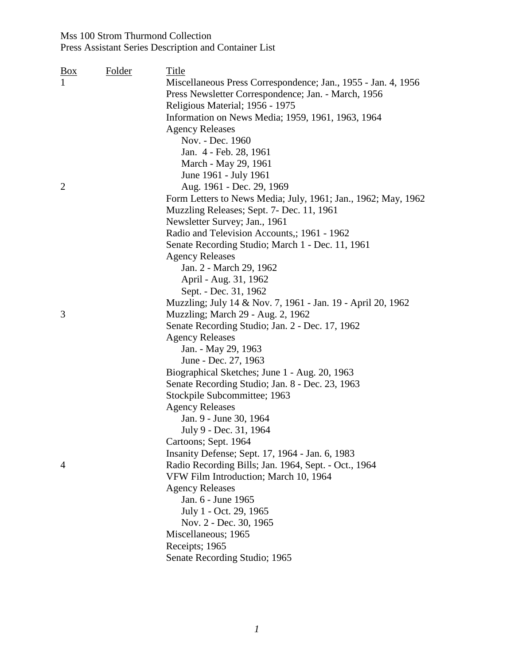| $\frac{Box}{}$<br>$\mathbf{1}$ | Folder | <u>Title</u><br>Miscellaneous Press Correspondence; Jan., 1955 - Jan. 4, 1956<br>Press Newsletter Correspondence; Jan. - March, 1956<br>Religious Material; 1956 - 1975<br>Information on News Media; 1959, 1961, 1963, 1964<br><b>Agency Releases</b><br>Nov. - Dec. 1960<br>Jan. 4 - Feb. 28, 1961                                                                                                                                                                                                                                                                     |
|--------------------------------|--------|--------------------------------------------------------------------------------------------------------------------------------------------------------------------------------------------------------------------------------------------------------------------------------------------------------------------------------------------------------------------------------------------------------------------------------------------------------------------------------------------------------------------------------------------------------------------------|
| $\overline{2}$                 |        | March - May 29, 1961<br>June 1961 - July 1961<br>Aug. 1961 - Dec. 29, 1969<br>Form Letters to News Media; July, 1961; Jan., 1962; May, 1962<br>Muzzling Releases; Sept. 7- Dec. 11, 1961<br>Newsletter Survey; Jan., 1961<br>Radio and Television Accounts,; 1961 - 1962<br>Senate Recording Studio; March 1 - Dec. 11, 1961                                                                                                                                                                                                                                             |
|                                |        | <b>Agency Releases</b><br>Jan. 2 - March 29, 1962<br>April - Aug. 31, 1962<br>Sept. - Dec. 31, 1962<br>Muzzling; July 14 & Nov. 7, 1961 - Jan. 19 - April 20, 1962                                                                                                                                                                                                                                                                                                                                                                                                       |
| 3                              |        | Muzzling; March 29 - Aug. 2, 1962<br>Senate Recording Studio; Jan. 2 - Dec. 17, 1962<br><b>Agency Releases</b><br>Jan. - May 29, 1963<br>June - Dec. 27, 1963                                                                                                                                                                                                                                                                                                                                                                                                            |
| 4                              |        | Biographical Sketches; June 1 - Aug. 20, 1963<br>Senate Recording Studio; Jan. 8 - Dec. 23, 1963<br>Stockpile Subcommittee; 1963<br><b>Agency Releases</b><br>Jan. 9 - June 30, 1964<br>July 9 - Dec. 31, 1964<br>Cartoons; Sept. 1964<br>Insanity Defense; Sept. 17, 1964 - Jan. 6, 1983<br>Radio Recording Bills; Jan. 1964, Sept. - Oct., 1964<br>VFW Film Introduction; March 10, 1964<br><b>Agency Releases</b><br>Jan. 6 - June 1965<br>July 1 - Oct. 29, 1965<br>Nov. 2 - Dec. 30, 1965<br>Miscellaneous; 1965<br>Receipts; 1965<br>Senate Recording Studio; 1965 |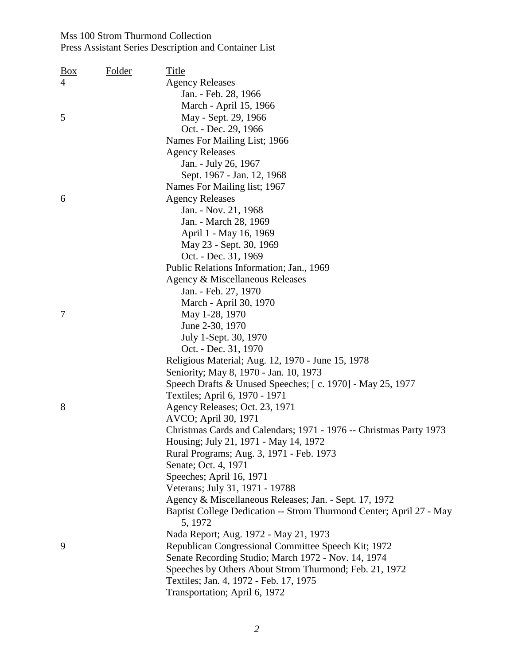| <u>Box</u> | <b>Folder</b> | <u>Title</u>                                                        |
|------------|---------------|---------------------------------------------------------------------|
| 4          |               | <b>Agency Releases</b>                                              |
|            |               | Jan. - Feb. 28, 1966                                                |
|            |               | March - April 15, 1966                                              |
| 5          |               | May - Sept. 29, 1966                                                |
|            |               | Oct. - Dec. 29, 1966                                                |
|            |               | Names For Mailing List; 1966                                        |
|            |               | <b>Agency Releases</b>                                              |
|            |               | Jan. - July 26, 1967                                                |
|            |               | Sept. 1967 - Jan. 12, 1968                                          |
|            |               | Names For Mailing list; 1967                                        |
| 6          |               | <b>Agency Releases</b>                                              |
|            |               | Jan. - Nov. 21, 1968                                                |
|            |               | Jan. - March 28, 1969                                               |
|            |               | April 1 - May 16, 1969                                              |
|            |               | May 23 - Sept. 30, 1969                                             |
|            |               | Oct. - Dec. 31, 1969                                                |
|            |               | Public Relations Information; Jan., 1969                            |
|            |               | Agency & Miscellaneous Releases                                     |
|            |               | Jan. - Feb. 27, 1970                                                |
|            |               | March - April 30, 1970                                              |
| 7          |               | May 1-28, 1970                                                      |
|            |               | June 2-30, 1970                                                     |
|            |               | July 1-Sept. 30, 1970                                               |
|            |               | Oct. - Dec. 31, 1970                                                |
|            |               | Religious Material; Aug. 12, 1970 - June 15, 1978                   |
|            |               | Seniority; May 8, 1970 - Jan. 10, 1973                              |
|            |               | Speech Drafts & Unused Speeches; [c. 1970] - May 25, 1977           |
|            |               | Textiles; April 6, 1970 - 1971                                      |
| 8          |               | Agency Releases; Oct. 23, 1971                                      |
|            |               | AVCO; April 30, 1971                                                |
|            |               | Christmas Cards and Calendars; 1971 - 1976 -- Christmas Party 1973  |
|            |               | Housing; July 21, 1971 - May 14, 1972                               |
|            |               | Rural Programs; Aug. 3, 1971 - Feb. 1973                            |
|            |               | Senate; Oct. 4, 1971                                                |
|            |               | Speeches; April 16, 1971                                            |
|            |               | Veterans; July 31, 1971 - 19788                                     |
|            |               | Agency & Miscellaneous Releases; Jan. - Sept. 17, 1972              |
|            |               | Baptist College Dedication -- Strom Thurmond Center; April 27 - May |
|            |               | 5, 1972                                                             |
|            |               | Nada Report; Aug. 1972 - May 21, 1973                               |
| 9          |               | Republican Congressional Committee Speech Kit; 1972                 |
|            |               | Senate Recording Studio; March 1972 - Nov. 14, 1974                 |
|            |               | Speeches by Others About Strom Thurmond; Feb. 21, 1972              |
|            |               | Textiles; Jan. 4, 1972 - Feb. 17, 1975                              |
|            |               | Transportation; April 6, 1972                                       |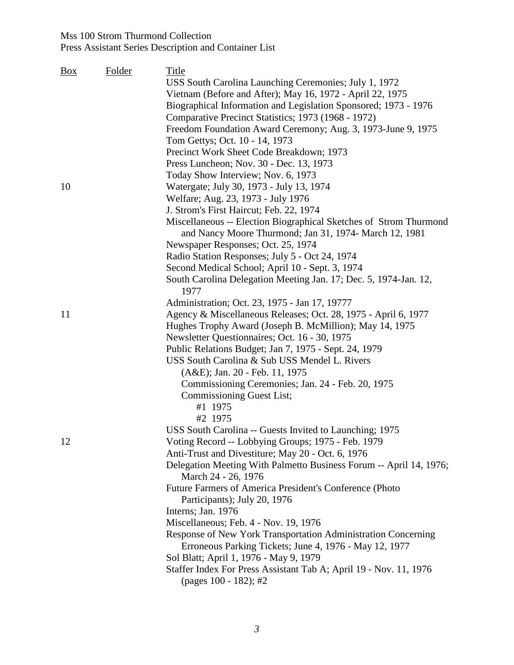#### Mss 100 Strom Thurmond Collection Press Assistant Series Description and Container List

| <b>Box</b> | <b>Folder</b> | <b>Title</b>                                                             |
|------------|---------------|--------------------------------------------------------------------------|
|            |               | USS South Carolina Launching Ceremonies; July 1, 1972                    |
|            |               | Vietnam (Before and After); May 16, 1972 - April 22, 1975                |
|            |               | Biographical Information and Legislation Sponsored; 1973 - 1976          |
|            |               | Comparative Precinct Statistics; 1973 (1968 - 1972)                      |
|            |               | Freedom Foundation Award Ceremony; Aug. 3, 1973-June 9, 1975             |
|            |               | Tom Gettys; Oct. 10 - 14, 1973                                           |
|            |               | Precinct Work Sheet Code Breakdown; 1973                                 |
|            |               | Press Luncheon; Nov. 30 - Dec. 13, 1973                                  |
|            |               | Today Show Interview; Nov. 6, 1973                                       |
| 10         |               | Watergate; July 30, 1973 - July 13, 1974                                 |
|            |               | Welfare; Aug. 23, 1973 - July 1976                                       |
|            |               | J. Strom's First Haircut; Feb. 22, 1974                                  |
|            |               | Miscellaneous -- Election Biographical Sketches of Strom Thurmond        |
|            |               | and Nancy Moore Thurmond; Jan 31, 1974- March 12, 1981                   |
|            |               | Newspaper Responses; Oct. 25, 1974                                       |
|            |               | Radio Station Responses; July 5 - Oct 24, 1974                           |
|            |               | Second Medical School; April 10 - Sept. 3, 1974                          |
|            |               | South Carolina Delegation Meeting Jan. 17; Dec. 5, 1974-Jan. 12,<br>1977 |
|            |               | Administration; Oct. 23, 1975 - Jan 17, 19777                            |
| 11         |               | Agency & Miscellaneous Releases; Oct. 28, 1975 - April 6, 1977           |
|            |               | Hughes Trophy Award (Joseph B. McMillion); May 14, 1975                  |
|            |               | Newsletter Questionnaires; Oct. 16 - 30, 1975                            |
|            |               | Public Relations Budget; Jan 7, 1975 - Sept. 24, 1979                    |
|            |               | USS South Carolina & Sub USS Mendel L. Rivers                            |
|            |               | (A&E); Jan. 20 - Feb. 11, 1975                                           |
|            |               | Commissioning Ceremonies; Jan. 24 - Feb. 20, 1975                        |
|            |               | <b>Commissioning Guest List;</b>                                         |
|            |               | #1 1975                                                                  |
|            |               | #2 1975                                                                  |
|            |               | USS South Carolina -- Guests Invited to Launching; 1975                  |
| 12         |               | Voting Record -- Lobbying Groups; 1975 - Feb. 1979                       |
|            |               | Anti-Trust and Divestiture; May 20 - Oct. 6, 1976                        |
|            |               | Delegation Meeting With Palmetto Business Forum -- April 14, 1976;       |
|            |               | March 24 - 26, 1976                                                      |
|            |               | Future Farmers of America President's Conference (Photo                  |
|            |               | Participants); July 20, 1976                                             |
|            |               | Interns; Jan. 1976                                                       |
|            |               | Miscellaneous; Feb. 4 - Nov. 19, 1976                                    |
|            |               | Response of New York Transportation Administration Concerning            |
|            |               | Erroneous Parking Tickets; June 4, 1976 - May 12, 1977                   |
|            |               | Sol Blatt; April 1, 1976 - May 9, 1979                                   |
|            |               | Staffer Index For Press Assistant Tab A; April 19 - Nov. 11, 1976        |
|            |               | (pages 100 - 182); #2                                                    |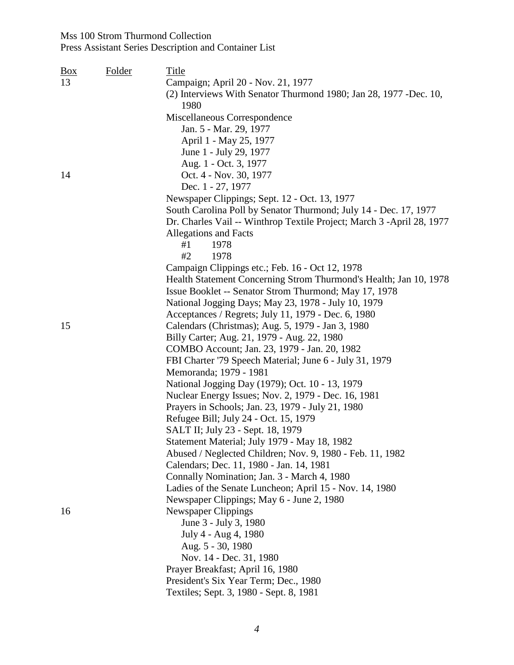| <b>Box</b> | <b>Folder</b> | Title                                                                 |
|------------|---------------|-----------------------------------------------------------------------|
| 13         |               | Campaign; April 20 - Nov. 21, 1977                                    |
|            |               | (2) Interviews With Senator Thurmond 1980; Jan 28, 1977 -Dec. 10,     |
|            |               | 1980                                                                  |
|            |               | Miscellaneous Correspondence                                          |
|            |               | Jan. 5 - Mar. 29, 1977                                                |
|            |               | April 1 - May 25, 1977                                                |
|            |               | June 1 - July 29, 1977                                                |
|            |               | Aug. 1 - Oct. 3, 1977                                                 |
| 14         |               | Oct. 4 - Nov. 30, 1977                                                |
|            |               | Dec. 1 - 27, 1977                                                     |
|            |               | Newspaper Clippings; Sept. 12 - Oct. 13, 1977                         |
|            |               | South Carolina Poll by Senator Thurmond; July 14 - Dec. 17, 1977      |
|            |               | Dr. Charles Vail -- Winthrop Textile Project; March 3 -April 28, 1977 |
|            |               | Allegations and Facts                                                 |
|            |               | 1978<br>#1                                                            |
|            |               | #2<br>1978                                                            |
|            |               | Campaign Clippings etc.; Feb. 16 - Oct 12, 1978                       |
|            |               | Health Statement Concerning Strom Thurmond's Health; Jan 10, 1978     |
|            |               | Issue Booklet -- Senator Strom Thurmond; May 17, 1978                 |
|            |               | National Jogging Days; May 23, 1978 - July 10, 1979                   |
|            |               | Acceptances / Regrets; July 11, 1979 - Dec. 6, 1980                   |
| 15         |               | Calendars (Christmas); Aug. 5, 1979 - Jan 3, 1980                     |
|            |               | Billy Carter; Aug. 21, 1979 - Aug. 22, 1980                           |
|            |               | COMBO Account; Jan. 23, 1979 - Jan. 20, 1982                          |
|            |               | FBI Charter '79 Speech Material; June 6 - July 31, 1979               |
|            |               | Memoranda; 1979 - 1981                                                |
|            |               | National Jogging Day (1979); Oct. 10 - 13, 1979                       |
|            |               | Nuclear Energy Issues; Nov. 2, 1979 - Dec. 16, 1981                   |
|            |               | Prayers in Schools; Jan. 23, 1979 - July 21, 1980                     |
|            |               | Refugee Bill; July 24 - Oct. 15, 1979                                 |
|            |               | SALT II; July 23 - Sept. 18, 1979                                     |
|            |               | Statement Material; July 1979 - May 18, 1982                          |
|            |               | Abused / Neglected Children; Nov. 9, 1980 - Feb. 11, 1982             |
|            |               | Calendars; Dec. 11, 1980 - Jan. 14, 1981                              |
|            |               | Connally Nomination; Jan. 3 - March 4, 1980                           |
|            |               | Ladies of the Senate Luncheon; April 15 - Nov. 14, 1980               |
|            |               | Newspaper Clippings; May 6 - June 2, 1980                             |
| 16         |               | <b>Newspaper Clippings</b>                                            |
|            |               | June 3 - July 3, 1980                                                 |
|            |               | July 4 - Aug 4, 1980                                                  |
|            |               | Aug. 5 - 30, 1980                                                     |
|            |               | Nov. 14 - Dec. 31, 1980                                               |
|            |               | Prayer Breakfast; April 16, 1980                                      |
|            |               | President's Six Year Term; Dec., 1980                                 |
|            |               | Textiles; Sept. 3, 1980 - Sept. 8, 1981                               |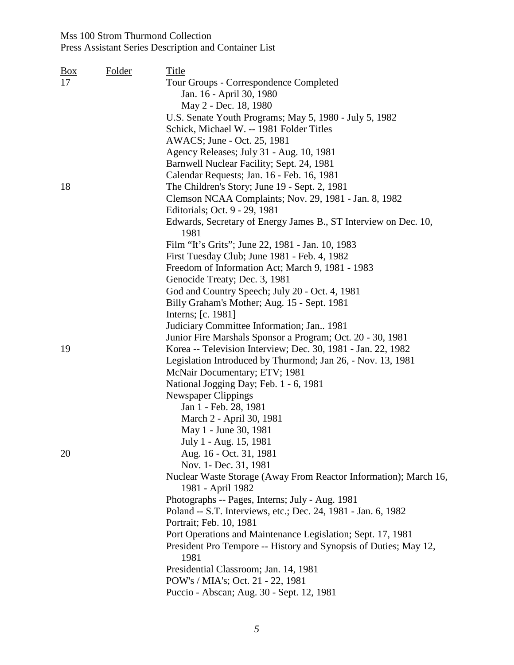| <u>Box</u> | <b>Folder</b> | Title                                                                    |
|------------|---------------|--------------------------------------------------------------------------|
| 17         |               | Tour Groups - Correspondence Completed                                   |
|            |               | Jan. 16 - April 30, 1980                                                 |
|            |               | May 2 - Dec. 18, 1980                                                    |
|            |               | U.S. Senate Youth Programs; May 5, 1980 - July 5, 1982                   |
|            |               | Schick, Michael W. -- 1981 Folder Titles                                 |
|            |               | AWACS; June - Oct. 25, 1981                                              |
|            |               | Agency Releases; July 31 - Aug. 10, 1981                                 |
|            |               | Barnwell Nuclear Facility; Sept. 24, 1981                                |
|            |               | Calendar Requests; Jan. 16 - Feb. 16, 1981                               |
| 18         |               | The Children's Story; June 19 - Sept. 2, 1981                            |
|            |               | Clemson NCAA Complaints; Nov. 29, 1981 - Jan. 8, 1982                    |
|            |               | Editorials; Oct. 9 - 29, 1981                                            |
|            |               | Edwards, Secretary of Energy James B., ST Interview on Dec. 10,<br>1981  |
|            |               | Film "It's Grits"; June 22, 1981 - Jan. 10, 1983                         |
|            |               | First Tuesday Club; June 1981 - Feb. 4, 1982                             |
|            |               | Freedom of Information Act; March 9, 1981 - 1983                         |
|            |               | Genocide Treaty; Dec. 3, 1981                                            |
|            |               | God and Country Speech; July 20 - Oct. 4, 1981                           |
|            |               | Billy Graham's Mother; Aug. 15 - Sept. 1981                              |
|            |               | Interns; [c. 1981]                                                       |
|            |               | Judiciary Committee Information; Jan., 1981                              |
|            |               | Junior Fire Marshals Sponsor a Program; Oct. 20 - 30, 1981               |
| 19         |               | Korea -- Television Interview; Dec. 30, 1981 - Jan. 22, 1982             |
|            |               | Legislation Introduced by Thurmond; Jan 26, - Nov. 13, 1981              |
|            |               | McNair Documentary; ETV; 1981                                            |
|            |               | National Jogging Day; Feb. 1 - 6, 1981                                   |
|            |               | <b>Newspaper Clippings</b>                                               |
|            |               | Jan 1 - Feb. 28, 1981                                                    |
|            |               | March 2 - April 30, 1981                                                 |
|            |               | May 1 - June 30, 1981                                                    |
|            |               | July 1 - Aug. 15, 1981                                                   |
| 20         |               | Aug. 16 - Oct. 31, 1981                                                  |
|            |               | Nov. 1- Dec. 31, 1981                                                    |
|            |               | Nuclear Waste Storage (Away From Reactor Information); March 16,         |
|            |               | 1981 - April 1982                                                        |
|            |               | Photographs -- Pages, Interns; July - Aug. 1981                          |
|            |               | Poland -- S.T. Interviews, etc.; Dec. 24, 1981 - Jan. 6, 1982            |
|            |               | Portrait; Feb. 10, 1981                                                  |
|            |               | Port Operations and Maintenance Legislation; Sept. 17, 1981              |
|            |               | President Pro Tempore -- History and Synopsis of Duties; May 12,<br>1981 |
|            |               | Presidential Classroom; Jan. 14, 1981                                    |
|            |               | POW's / MIA's; Oct. 21 - 22, 1981                                        |
|            |               | Puccio - Abscan; Aug. 30 - Sept. 12, 1981                                |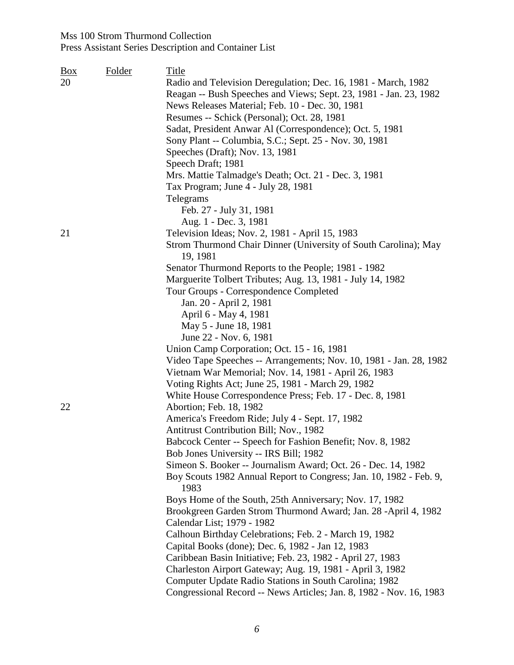| $\frac{Box}{}$<br>20 | <b>Folder</b> | <b>Title</b><br>Radio and Television Deregulation; Dec. 16, 1981 - March, 1982<br>Reagan -- Bush Speeches and Views; Sept. 23, 1981 - Jan. 23, 1982<br>News Releases Material; Feb. 10 - Dec. 30, 1981<br>Resumes -- Schick (Personal); Oct. 28, 1981<br>Sadat, President Anwar Al (Correspondence); Oct. 5, 1981<br>Sony Plant -- Columbia, S.C.; Sept. 25 - Nov. 30, 1981<br>Speeches (Draft); Nov. 13, 1981<br>Speech Draft; 1981<br>Mrs. Mattie Talmadge's Death; Oct. 21 - Dec. 3, 1981<br>Tax Program; June 4 - July 28, 1981        |
|----------------------|---------------|--------------------------------------------------------------------------------------------------------------------------------------------------------------------------------------------------------------------------------------------------------------------------------------------------------------------------------------------------------------------------------------------------------------------------------------------------------------------------------------------------------------------------------------------|
|                      |               | Telegrams<br>Feb. 27 - July 31, 1981<br>Aug. 1 - Dec. 3, 1981                                                                                                                                                                                                                                                                                                                                                                                                                                                                              |
| 21                   |               | Television Ideas; Nov. 2, 1981 - April 15, 1983<br>Strom Thurmond Chair Dinner (University of South Carolina); May<br>19, 1981<br>Senator Thurmond Reports to the People; 1981 - 1982                                                                                                                                                                                                                                                                                                                                                      |
|                      |               | Marguerite Tolbert Tributes; Aug. 13, 1981 - July 14, 1982<br>Tour Groups - Correspondence Completed                                                                                                                                                                                                                                                                                                                                                                                                                                       |
|                      |               | Jan. 20 - April 2, 1981<br>April 6 - May 4, 1981<br>May 5 - June 18, 1981                                                                                                                                                                                                                                                                                                                                                                                                                                                                  |
|                      |               | June 22 - Nov. 6, 1981<br>Union Camp Corporation; Oct. 15 - 16, 1981<br>Video Tape Speeches -- Arrangements; Nov. 10, 1981 - Jan. 28, 1982<br>Vietnam War Memorial; Nov. 14, 1981 - April 26, 1983<br>Voting Rights Act; June 25, 1981 - March 29, 1982<br>White House Correspondence Press; Feb. 17 - Dec. 8, 1981                                                                                                                                                                                                                        |
| 22                   |               | Abortion; Feb. 18, 1982<br>America's Freedom Ride; July 4 - Sept. 17, 1982<br><b>Antitrust Contribution Bill; Nov., 1982</b><br>Babcock Center -- Speech for Fashion Benefit; Nov. 8, 1982<br>Bob Jones University -- IRS Bill; 1982<br>Simeon S. Booker -- Journalism Award; Oct. 26 - Dec. 14, 1982<br>Boy Scouts 1982 Annual Report to Congress; Jan. 10, 1982 - Feb. 9,                                                                                                                                                                |
|                      |               | 1983<br>Boys Home of the South, 25th Anniversary; Nov. 17, 1982<br>Brookgreen Garden Strom Thurmond Award; Jan. 28 -April 4, 1982<br>Calendar List; 1979 - 1982<br>Calhoun Birthday Celebrations; Feb. 2 - March 19, 1982<br>Capital Books (done); Dec. 6, 1982 - Jan 12, 1983<br>Caribbean Basin Initiative; Feb. 23, 1982 - April 27, 1983<br>Charleston Airport Gateway; Aug. 19, 1981 - April 3, 1982<br>Computer Update Radio Stations in South Carolina; 1982<br>Congressional Record -- News Articles; Jan. 8, 1982 - Nov. 16, 1983 |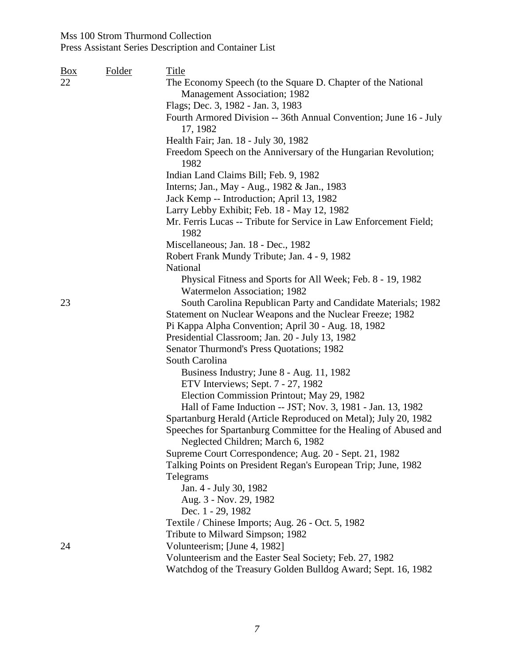# Press Assistant Series Description and Container List

| <u>Box</u> | Folder | Title                                                                                                 |
|------------|--------|-------------------------------------------------------------------------------------------------------|
| 22         |        | The Economy Speech (to the Square D. Chapter of the National                                          |
|            |        | Management Association; 1982                                                                          |
|            |        | Flags; Dec. 3, 1982 - Jan. 3, 1983                                                                    |
|            |        | Fourth Armored Division -- 36th Annual Convention; June 16 - July                                     |
|            |        | 17, 1982                                                                                              |
|            |        | Health Fair; Jan. 18 - July 30, 1982                                                                  |
|            |        | Freedom Speech on the Anniversary of the Hungarian Revolution;<br>1982                                |
|            |        | Indian Land Claims Bill; Feb. 9, 1982                                                                 |
|            |        | Interns; Jan., May - Aug., 1982 & Jan., 1983                                                          |
|            |        | Jack Kemp -- Introduction; April 13, 1982                                                             |
|            |        | Larry Lebby Exhibit; Feb. 18 - May 12, 1982                                                           |
|            |        | Mr. Ferris Lucas -- Tribute for Service in Law Enforcement Field;<br>1982                             |
|            |        | Miscellaneous; Jan. 18 - Dec., 1982                                                                   |
|            |        | Robert Frank Mundy Tribute; Jan. 4 - 9, 1982                                                          |
|            |        | National                                                                                              |
|            |        | Physical Fitness and Sports for All Week; Feb. 8 - 19, 1982                                           |
|            |        | Watermelon Association; 1982                                                                          |
| 23         |        | South Carolina Republican Party and Candidate Materials; 1982                                         |
|            |        | Statement on Nuclear Weapons and the Nuclear Freeze; 1982                                             |
|            |        | Pi Kappa Alpha Convention; April 30 - Aug. 18, 1982                                                   |
|            |        | Presidential Classroom; Jan. 20 - July 13, 1982                                                       |
|            |        | <b>Senator Thurmond's Press Quotations; 1982</b>                                                      |
|            |        | South Carolina                                                                                        |
|            |        | Business Industry; June 8 - Aug. 11, 1982                                                             |
|            |        | ETV Interviews; Sept. 7 - 27, 1982                                                                    |
|            |        | Election Commission Printout; May 29, 1982                                                            |
|            |        | Hall of Fame Induction -- JST; Nov. 3, 1981 - Jan. 13, 1982                                           |
|            |        | Spartanburg Herald (Article Reproduced on Metal); July 20, 1982                                       |
|            |        | Speeches for Spartanburg Committee for the Healing of Abused and<br>Neglected Children; March 6, 1982 |
|            |        | Supreme Court Correspondence; Aug. 20 - Sept. 21, 1982                                                |
|            |        | Talking Points on President Regan's European Trip; June, 1982                                         |
|            |        | Telegrams                                                                                             |
|            |        | Jan. 4 - July 30, 1982                                                                                |
|            |        | Aug. 3 - Nov. 29, 1982                                                                                |
|            |        | Dec. 1 - 29, 1982                                                                                     |
|            |        | Textile / Chinese Imports; Aug. 26 - Oct. 5, 1982                                                     |
|            |        | Tribute to Milward Simpson; 1982                                                                      |
| 24         |        | Volunteerism; [June 4, 1982]                                                                          |
|            |        | Volunteerism and the Easter Seal Society; Feb. 27, 1982                                               |
|            |        | Watchdog of the Treasury Golden Bulldog Award; Sept. 16, 1982                                         |

*7*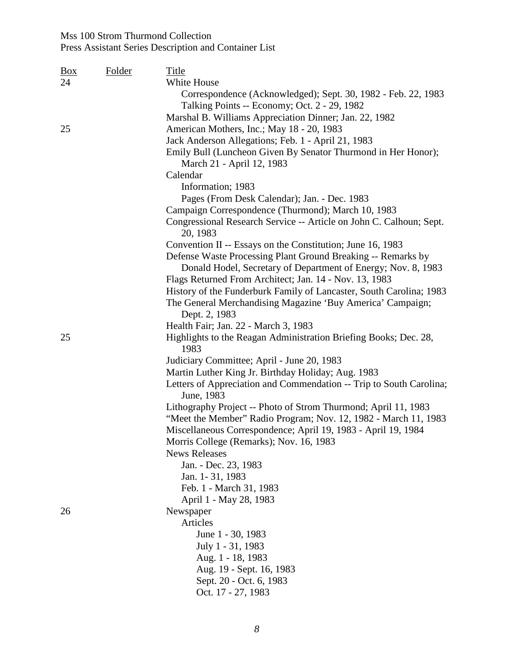| <u>Box</u> | Folder | <b>Title</b>                                                        |
|------------|--------|---------------------------------------------------------------------|
| 24         |        | White House                                                         |
|            |        | Correspondence (Acknowledged); Sept. 30, 1982 - Feb. 22, 1983       |
|            |        | Talking Points -- Economy; Oct. 2 - 29, 1982                        |
|            |        | Marshal B. Williams Appreciation Dinner; Jan. 22, 1982              |
| 25         |        | American Mothers, Inc.; May 18 - 20, 1983                           |
|            |        | Jack Anderson Allegations; Feb. 1 - April 21, 1983                  |
|            |        | Emily Bull (Luncheon Given By Senator Thurmond in Her Honor);       |
|            |        | March 21 - April 12, 1983                                           |
|            |        | Calendar                                                            |
|            |        | Information; 1983                                                   |
|            |        | Pages (From Desk Calendar); Jan. - Dec. 1983                        |
|            |        | Campaign Correspondence (Thurmond); March 10, 1983                  |
|            |        | Congressional Research Service -- Article on John C. Calhoun; Sept. |
|            |        | 20, 1983                                                            |
|            |        | Convention II -- Essays on the Constitution; June 16, 1983          |
|            |        | Defense Waste Processing Plant Ground Breaking -- Remarks by        |
|            |        | Donald Hodel, Secretary of Department of Energy; Nov. 8, 1983       |
|            |        | Flags Returned From Architect; Jan. 14 - Nov. 13, 1983              |
|            |        | History of the Funderburk Family of Lancaster, South Carolina; 1983 |
|            |        | The General Merchandising Magazine 'Buy America' Campaign;          |
|            |        | Dept. 2, 1983                                                       |
|            |        | Health Fair; Jan. 22 - March 3, 1983                                |
| 25         |        | Highlights to the Reagan Administration Briefing Books; Dec. 28,    |
|            |        | 1983                                                                |
|            |        | Judiciary Committee; April - June 20, 1983                          |
|            |        | Martin Luther King Jr. Birthday Holiday; Aug. 1983                  |
|            |        | Letters of Appreciation and Commendation -- Trip to South Carolina; |
|            |        | June, 1983                                                          |
|            |        | Lithography Project -- Photo of Strom Thurmond; April 11, 1983      |
|            |        | "Meet the Member" Radio Program; Nov. 12, 1982 - March 11, 1983     |
|            |        | Miscellaneous Correspondence; April 19, 1983 - April 19, 1984       |
|            |        | Morris College (Remarks); Nov. 16, 1983                             |
|            |        | <b>News Releases</b>                                                |
|            |        | Jan. - Dec. 23, 1983                                                |
|            |        | Jan. 1-31, 1983                                                     |
|            |        | Feb. 1 - March 31, 1983                                             |
|            |        | April 1 - May 28, 1983                                              |
| 26         |        | Newspaper                                                           |
|            |        | Articles                                                            |
|            |        | June 1 - 30, 1983                                                   |
|            |        | July 1 - 31, 1983                                                   |
|            |        | Aug. 1 - 18, 1983                                                   |
|            |        | Aug. 19 - Sept. 16, 1983                                            |
|            |        | Sept. 20 - Oct. 6, 1983                                             |
|            |        | Oct. 17 - 27, 1983                                                  |
|            |        |                                                                     |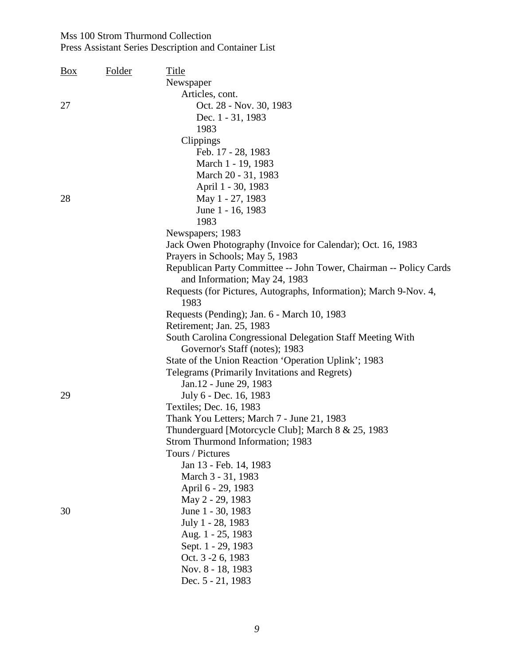| <b>Box</b> | <b>Folder</b> | Title                                                              |
|------------|---------------|--------------------------------------------------------------------|
|            |               | Newspaper                                                          |
|            |               | Articles, cont.                                                    |
| 27         |               | Oct. 28 - Nov. 30, 1983                                            |
|            |               | Dec. 1 - 31, 1983                                                  |
|            |               | 1983                                                               |
|            |               | Clippings                                                          |
|            |               | Feb. 17 - 28, 1983                                                 |
|            |               | March 1 - 19, 1983                                                 |
|            |               | March 20 - 31, 1983                                                |
|            |               | April 1 - 30, 1983                                                 |
| 28         |               | May 1 - 27, 1983                                                   |
|            |               | June 1 - 16, 1983                                                  |
|            |               | 1983                                                               |
|            |               | Newspapers; 1983                                                   |
|            |               | Jack Owen Photography (Invoice for Calendar); Oct. 16, 1983        |
|            |               | Prayers in Schools; May 5, 1983                                    |
|            |               | Republican Party Committee -- John Tower, Chairman -- Policy Cards |
|            |               | and Information; May 24, 1983                                      |
|            |               | Requests (for Pictures, Autographs, Information); March 9-Nov. 4,  |
|            |               | 1983                                                               |
|            |               | Requests (Pending); Jan. 6 - March 10, 1983                        |
|            |               | Retirement; Jan. 25, 1983                                          |
|            |               | South Carolina Congressional Delegation Staff Meeting With         |
|            |               | Governor's Staff (notes); 1983                                     |
|            |               | State of the Union Reaction 'Operation Uplink'; 1983               |
|            |               | Telegrams (Primarily Invitations and Regrets)                      |
|            |               | Jan.12 - June 29, 1983                                             |
| 29         |               | July 6 - Dec. 16, 1983                                             |
|            |               | Textiles; Dec. 16, 1983                                            |
|            |               | Thank You Letters; March 7 - June 21, 1983                         |
|            |               | Thunderguard [Motorcycle Club]; March 8 & 25, 1983                 |
|            |               | <b>Strom Thurmond Information; 1983</b>                            |
|            |               | Tours / Pictures                                                   |
|            |               | Jan 13 - Feb. 14, 1983                                             |
|            |               | March 3 - 31, 1983                                                 |
|            |               | April 6 - 29, 1983                                                 |
|            |               | May 2 - 29, 1983                                                   |
| 30         |               | June 1 - 30, 1983                                                  |
|            |               | July 1 - 28, 1983                                                  |
|            |               | Aug. 1 - 25, 1983                                                  |
|            |               | Sept. 1 - 29, 1983                                                 |
|            |               | Oct. 3 - 2 6, 1983                                                 |
|            |               | Nov. 8 - 18, 1983                                                  |
|            |               | Dec. 5 - 21, 1983                                                  |